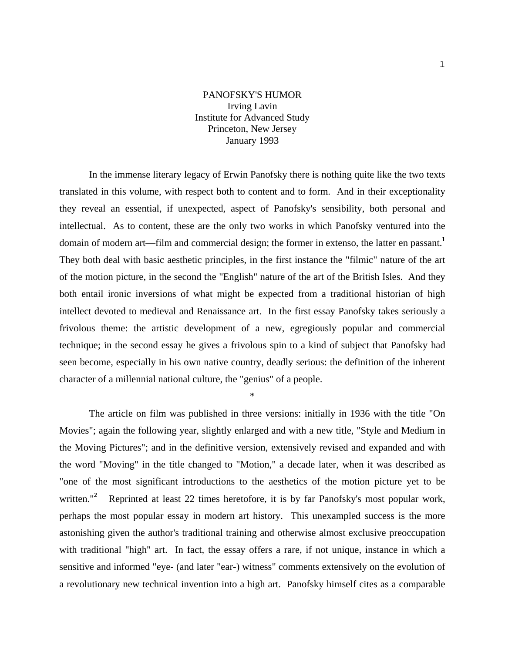## PANOFSKY'S HUMOR Irving Lavin Institute for Advanced Study Princeton, New Jersey January 1993

 In the immense literary legacy of Erwin Panofsky there is nothing quite like the two texts translated in this volume, with respect both to content and to form. And in their exceptionality they reveal an essential, if unexpected, aspect of Panofsky's sensibility, both personal and intellectual. As to content, these are the only two works in which Panofsky ventured into the domain of modern art—film and commercial design; the former in extenso, the latter en passant.**<sup>1</sup>** They both deal with basic aesthetic principles, in the first instance the "filmic" nature of the art of the motion picture, in the second the "English" nature of the art of the British Isles. And they both entail ironic inversions of what might be expected from a traditional historian of high intellect devoted to medieval and Renaissance art. In the first essay Panofsky takes seriously a frivolous theme: the artistic development of a new, egregiously popular and commercial technique; in the second essay he gives a frivolous spin to a kind of subject that Panofsky had seen become, especially in his own native country, deadly serious: the definition of the inherent character of a millennial national culture, the "genius" of a people.

\*

 The article on film was published in three versions: initially in 1936 with the title "On Movies"; again the following year, slightly enlarged and with a new title, "Style and Medium in the Moving Pictures"; and in the definitive version, extensively revised and expanded and with the word "Moving" in the title changed to "Motion," a decade later, when it was described as "one of the most significant introductions to the aesthetics of the motion picture yet to be written."<sup>2</sup> Reprinted at least 22 times heretofore, it is by far Panofsky's most popular work, perhaps the most popular essay in modern art history. This unexampled success is the more astonishing given the author's traditional training and otherwise almost exclusive preoccupation with traditional "high" art. In fact, the essay offers a rare, if not unique, instance in which a sensitive and informed "eye- (and later "ear-) witness" comments extensively on the evolution of a revolutionary new technical invention into a high art. Panofsky himself cites as a comparable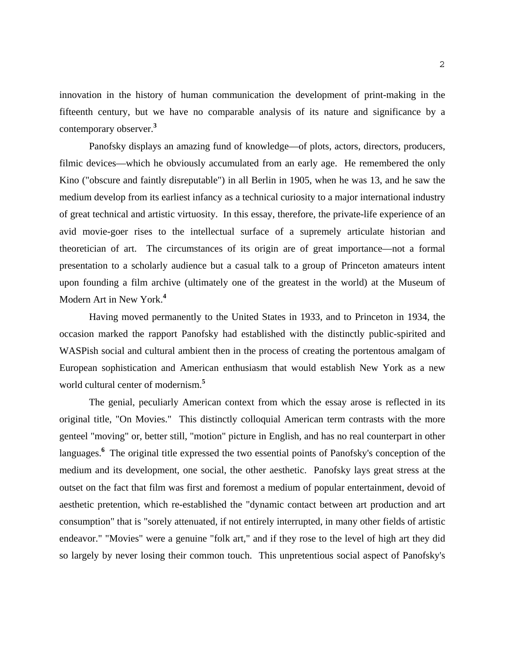innovation in the history of human communication the development of print-making in the fifteenth century, but we have no comparable analysis of its nature and significance by a contemporary observer.**<sup>3</sup>**

 Panofsky displays an amazing fund of knowledge—of plots, actors, directors, producers, filmic devices—which he obviously accumulated from an early age. He remembered the only Kino ("obscure and faintly disreputable") in all Berlin in 1905, when he was 13, and he saw the medium develop from its earliest infancy as a technical curiosity to a major international industry of great technical and artistic virtuosity. In this essay, therefore, the private-life experience of an avid movie-goer rises to the intellectual surface of a supremely articulate historian and theoretician of art. The circumstances of its origin are of great importance—not a formal presentation to a scholarly audience but a casual talk to a group of Princeton amateurs intent upon founding a film archive (ultimately one of the greatest in the world) at the Museum of Modern Art in New York.**<sup>4</sup>**

 Having moved permanently to the United States in 1933, and to Princeton in 1934, the occasion marked the rapport Panofsky had established with the distinctly public-spirited and WASPish social and cultural ambient then in the process of creating the portentous amalgam of European sophistication and American enthusiasm that would establish New York as a new world cultural center of modernism.**<sup>5</sup>**

 The genial, peculiarly American context from which the essay arose is reflected in its original title, "On Movies." This distinctly colloquial American term contrasts with the more genteel "moving" or, better still, "motion" picture in English, and has no real counterpart in other languages.<sup>6</sup> The original title expressed the two essential points of Panofsky's conception of the medium and its development, one social, the other aesthetic. Panofsky lays great stress at the outset on the fact that film was first and foremost a medium of popular entertainment, devoid of aesthetic pretention, which re-established the "dynamic contact between art production and art consumption" that is "sorely attenuated, if not entirely interrupted, in many other fields of artistic endeavor." "Movies" were a genuine "folk art," and if they rose to the level of high art they did so largely by never losing their common touch. This unpretentious social aspect of Panofsky's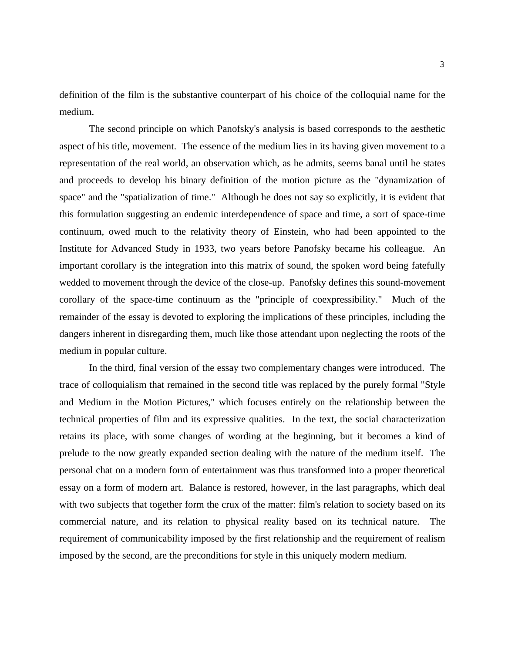definition of the film is the substantive counterpart of his choice of the colloquial name for the medium.

 The second principle on which Panofsky's analysis is based corresponds to the aesthetic aspect of his title, movement. The essence of the medium lies in its having given movement to a representation of the real world, an observation which, as he admits, seems banal until he states and proceeds to develop his binary definition of the motion picture as the "dynamization of space" and the "spatialization of time." Although he does not say so explicitly, it is evident that this formulation suggesting an endemic interdependence of space and time, a sort of space-time continuum, owed much to the relativity theory of Einstein, who had been appointed to the Institute for Advanced Study in 1933, two years before Panofsky became his colleague. An important corollary is the integration into this matrix of sound, the spoken word being fatefully wedded to movement through the device of the close-up. Panofsky defines this sound-movement corollary of the space-time continuum as the "principle of coexpressibility." Much of the remainder of the essay is devoted to exploring the implications of these principles, including the dangers inherent in disregarding them, much like those attendant upon neglecting the roots of the medium in popular culture.

 In the third, final version of the essay two complementary changes were introduced. The trace of colloquialism that remained in the second title was replaced by the purely formal "Style and Medium in the Motion Pictures," which focuses entirely on the relationship between the technical properties of film and its expressive qualities. In the text, the social characterization retains its place, with some changes of wording at the beginning, but it becomes a kind of prelude to the now greatly expanded section dealing with the nature of the medium itself. The personal chat on a modern form of entertainment was thus transformed into a proper theoretical essay on a form of modern art. Balance is restored, however, in the last paragraphs, which deal with two subjects that together form the crux of the matter: film's relation to society based on its commercial nature, and its relation to physical reality based on its technical nature. The requirement of communicability imposed by the first relationship and the requirement of realism imposed by the second, are the preconditions for style in this uniquely modern medium.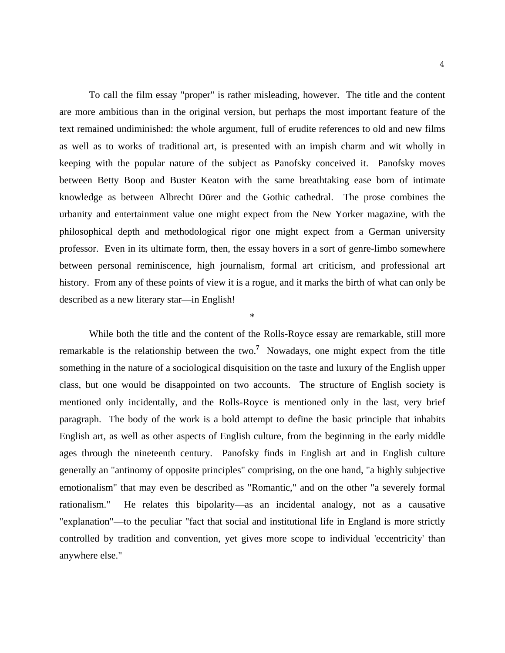To call the film essay "proper" is rather misleading, however. The title and the content are more ambitious than in the original version, but perhaps the most important feature of the text remained undiminished: the whole argument, full of erudite references to old and new films as well as to works of traditional art, is presented with an impish charm and wit wholly in keeping with the popular nature of the subject as Panofsky conceived it. Panofsky moves between Betty Boop and Buster Keaton with the same breathtaking ease born of intimate knowledge as between Albrecht Dürer and the Gothic cathedral. The prose combines the urbanity and entertainment value one might expect from the New Yorker magazine, with the philosophical depth and methodological rigor one might expect from a German university professor. Even in its ultimate form, then, the essay hovers in a sort of genre-limbo somewhere between personal reminiscence, high journalism, formal art criticism, and professional art history. From any of these points of view it is a rogue, and it marks the birth of what can only be described as a new literary star—in English!

\*

 While both the title and the content of the Rolls-Royce essay are remarkable, still more remarkable is the relationship between the two.**<sup>7</sup>** Nowadays, one might expect from the title something in the nature of a sociological disquisition on the taste and luxury of the English upper class, but one would be disappointed on two accounts. The structure of English society is mentioned only incidentally, and the Rolls-Royce is mentioned only in the last, very brief paragraph. The body of the work is a bold attempt to define the basic principle that inhabits English art, as well as other aspects of English culture, from the beginning in the early middle ages through the nineteenth century. Panofsky finds in English art and in English culture generally an "antinomy of opposite principles" comprising, on the one hand, "a highly subjective emotionalism" that may even be described as "Romantic," and on the other "a severely formal rationalism." He relates this bipolarity—as an incidental analogy, not as a causative "explanation"—to the peculiar "fact that social and institutional life in England is more strictly controlled by tradition and convention, yet gives more scope to individual 'eccentricity' than anywhere else."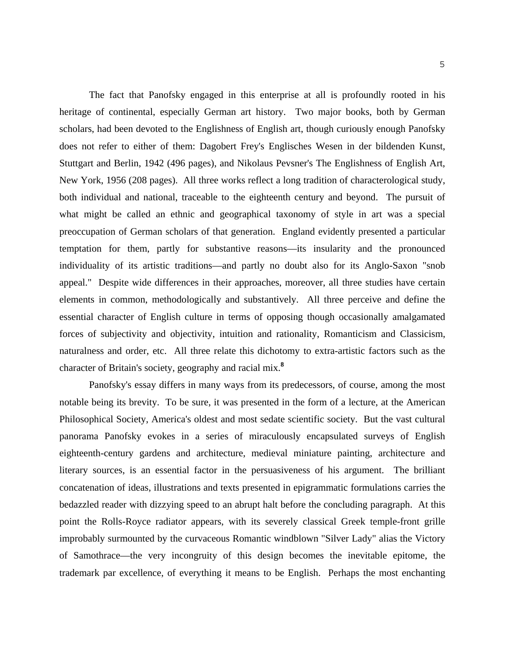The fact that Panofsky engaged in this enterprise at all is profoundly rooted in his heritage of continental, especially German art history. Two major books, both by German scholars, had been devoted to the Englishness of English art, though curiously enough Panofsky does not refer to either of them: Dagobert Frey's Englisches Wesen in der bildenden Kunst, Stuttgart and Berlin, 1942 (496 pages), and Nikolaus Pevsner's The Englishness of English Art, New York, 1956 (208 pages). All three works reflect a long tradition of characterological study, both individual and national, traceable to the eighteenth century and beyond. The pursuit of what might be called an ethnic and geographical taxonomy of style in art was a special preoccupation of German scholars of that generation. England evidently presented a particular temptation for them, partly for substantive reasons—its insularity and the pronounced individuality of its artistic traditions—and partly no doubt also for its Anglo-Saxon "snob appeal." Despite wide differences in their approaches, moreover, all three studies have certain elements in common, methodologically and substantively. All three perceive and define the essential character of English culture in terms of opposing though occasionally amalgamated forces of subjectivity and objectivity, intuition and rationality, Romanticism and Classicism, naturalness and order, etc. All three relate this dichotomy to extra-artistic factors such as the character of Britain's society, geography and racial mix.**<sup>8</sup>**

 Panofsky's essay differs in many ways from its predecessors, of course, among the most notable being its brevity. To be sure, it was presented in the form of a lecture, at the American Philosophical Society, America's oldest and most sedate scientific society. But the vast cultural panorama Panofsky evokes in a series of miraculously encapsulated surveys of English eighteenth-century gardens and architecture, medieval miniature painting, architecture and literary sources, is an essential factor in the persuasiveness of his argument. The brilliant concatenation of ideas, illustrations and texts presented in epigrammatic formulations carries the bedazzled reader with dizzying speed to an abrupt halt before the concluding paragraph. At this point the Rolls-Royce radiator appears, with its severely classical Greek temple-front grille improbably surmounted by the curvaceous Romantic windblown "Silver Lady" alias the Victory of Samothrace—the very incongruity of this design becomes the inevitable epitome, the trademark par excellence, of everything it means to be English. Perhaps the most enchanting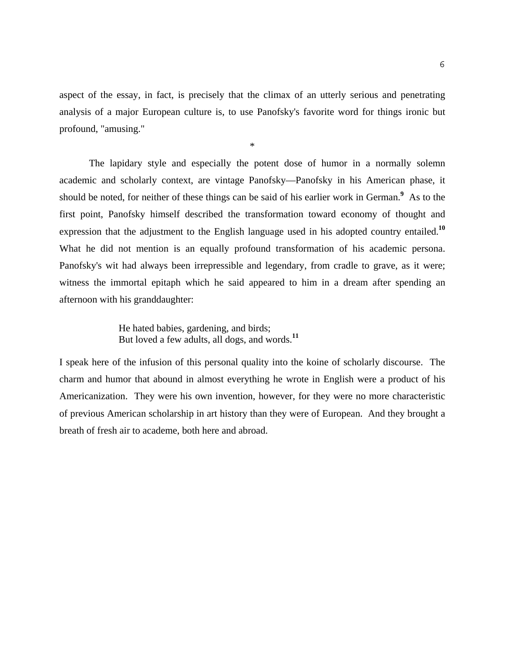aspect of the essay, in fact, is precisely that the climax of an utterly serious and penetrating analysis of a major European culture is, to use Panofsky's favorite word for things ironic but profound, "amusing."

 The lapidary style and especially the potent dose of humor in a normally solemn academic and scholarly context, are vintage Panofsky—Panofsky in his American phase, it should be noted, for neither of these things can be said of his earlier work in German.**<sup>9</sup>** As to the first point, Panofsky himself described the transformation toward economy of thought and expression that the adjustment to the English language used in his adopted country entailed.**<sup>10</sup>** What he did not mention is an equally profound transformation of his academic persona. Panofsky's wit had always been irrepressible and legendary, from cradle to grave, as it were; witness the immortal epitaph which he said appeared to him in a dream after spending an afternoon with his granddaughter:

> He hated babies, gardening, and birds; But loved a few adults, all dogs, and words.**<sup>11</sup>**

\*

I speak here of the infusion of this personal quality into the koine of scholarly discourse. The charm and humor that abound in almost everything he wrote in English were a product of his Americanization. They were his own invention, however, for they were no more characteristic of previous American scholarship in art history than they were of European. And they brought a breath of fresh air to academe, both here and abroad.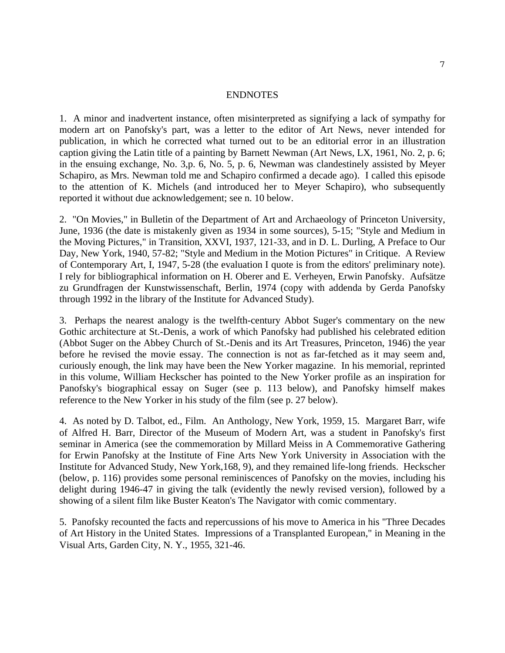## ENDNOTES

1. A minor and inadvertent instance, often misinterpreted as signifying a lack of sympathy for modern art on Panofsky's part, was a letter to the editor of Art News, never intended for publication, in which he corrected what turned out to be an editorial error in an illustration caption giving the Latin title of a painting by Barnett Newman (Art News, LX, 1961, No. 2, p. 6; in the ensuing exchange, No. 3,p. 6, No. 5, p. 6, Newman was clandestinely assisted by Meyer Schapiro, as Mrs. Newman told me and Schapiro confirmed a decade ago). I called this episode to the attention of K. Michels (and introduced her to Meyer Schapiro), who subsequently reported it without due acknowledgement; see n. 10 below.

2. "On Movies," in Bulletin of the Department of Art and Archaeology of Princeton University, June, 1936 (the date is mistakenly given as 1934 in some sources), 5-15; "Style and Medium in the Moving Pictures," in Transition, XXVI, 1937, 121-33, and in D. L. Durling, A Preface to Our Day, New York, 1940, 57-82; "Style and Medium in the Motion Pictures" in Critique. A Review of Contemporary Art, I, 1947, 5-28 (the evaluation I quote is from the editors' preliminary note). I rely for bibliographical information on H. Oberer and E. Verheyen, Erwin Panofsky. Aufsätze zu Grundfragen der Kunstwissenschaft, Berlin, 1974 (copy with addenda by Gerda Panofsky through 1992 in the library of the Institute for Advanced Study).

3. Perhaps the nearest analogy is the twelfth-century Abbot Suger's commentary on the new Gothic architecture at St.-Denis, a work of which Panofsky had published his celebrated edition (Abbot Suger on the Abbey Church of St.-Denis and its Art Treasures, Princeton, 1946) the year before he revised the movie essay. The connection is not as far-fetched as it may seem and, curiously enough, the link may have been the New Yorker magazine. In his memorial, reprinted in this volume, William Heckscher has pointed to the New Yorker profile as an inspiration for Panofsky's biographical essay on Suger (see p. 113 below), and Panofsky himself makes reference to the New Yorker in his study of the film (see p. 27 below).

4. As noted by D. Talbot, ed., Film. An Anthology, New York, 1959, 15. Margaret Barr, wife of Alfred H. Barr, Director of the Museum of Modern Art, was a student in Panofsky's first seminar in America (see the commemoration by Millard Meiss in A Commemorative Gathering for Erwin Panofsky at the Institute of Fine Arts New York University in Association with the Institute for Advanced Study, New York,168, 9), and they remained life-long friends. Heckscher (below, p. 116) provides some personal reminiscences of Panofsky on the movies, including his delight during 1946-47 in giving the talk (evidently the newly revised version), followed by a showing of a silent film like Buster Keaton's The Navigator with comic commentary.

5. Panofsky recounted the facts and repercussions of his move to America in his "Three Decades of Art History in the United States. Impressions of a Transplanted European," in Meaning in the Visual Arts, Garden City, N. Y., 1955, 321-46.